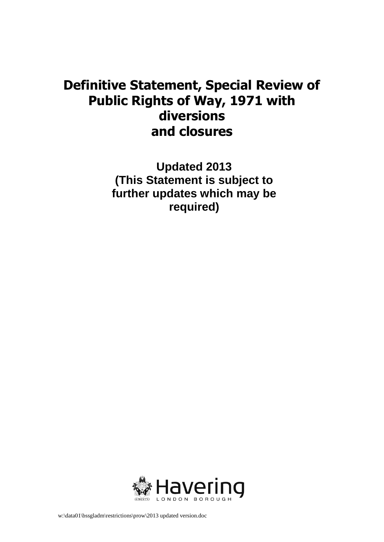## **Definitive Statement, Special Review of Public Rights of Way, 1971 with diversions and closures**

**Updated 2013 (This Statement is subject to further updates which may be required)** 

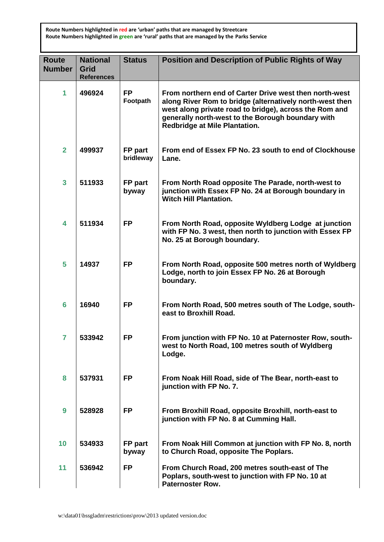**Route Numbers highlighted in red are 'urban' paths that are managed by Streetcare Route Numbers highlighted in green are 'rural' paths that are managed by the Parks Service** 

| <b>Route</b><br><b>Number</b> | <b>National</b><br>Grid<br><b>References</b> | <b>Status</b>         | Position and Description of Public Rights of Way                                                                                                                                                                                                                          |
|-------------------------------|----------------------------------------------|-----------------------|---------------------------------------------------------------------------------------------------------------------------------------------------------------------------------------------------------------------------------------------------------------------------|
| 1                             | 496924                                       | <b>FP</b><br>Footpath | From northern end of Carter Drive west then north-west<br>along River Rom to bridge (alternatively north-west then<br>west along private road to bridge), across the Rom and<br>generally north-west to the Borough boundary with<br><b>Redbridge at Mile Plantation.</b> |
| $\overline{2}$                | 499937                                       | FP part<br>bridleway  | From end of Essex FP No. 23 south to end of Clockhouse<br>Lane.                                                                                                                                                                                                           |
| $\overline{\mathbf{3}}$       | 511933                                       | FP part<br>byway      | From North Road opposite The Parade, north-west to<br>junction with Essex FP No. 24 at Borough boundary in<br><b>Witch Hill Plantation.</b>                                                                                                                               |
| 4                             | 511934                                       | <b>FP</b>             | From North Road, opposite Wyldberg Lodge at junction<br>with FP No. 3 west, then north to junction with Essex FP<br>No. 25 at Borough boundary.                                                                                                                           |
| 5                             | 14937                                        | <b>FP</b>             | From North Road, opposite 500 metres north of Wyldberg<br>Lodge, north to join Essex FP No. 26 at Borough<br>boundary.                                                                                                                                                    |
| $6\phantom{1}6$               | 16940                                        | <b>FP</b>             | From North Road, 500 metres south of The Lodge, south-<br>east to Broxhill Road.                                                                                                                                                                                          |
| $\overline{7}$                | 533942                                       | <b>FP</b>             | From junction with FP No. 10 at Paternoster Row, south-<br>west to North Road, 100 metres south of Wyldberg<br>Lodge.                                                                                                                                                     |
| 8                             | 537931                                       | <b>FP</b>             | From Noak Hill Road, side of The Bear, north-east to<br>junction with FP No. 7.                                                                                                                                                                                           |
| 9                             | 528928                                       | <b>FP</b>             | From Broxhill Road, opposite Broxhill, north-east to<br>junction with FP No. 8 at Cumming Hall.                                                                                                                                                                           |
| 10                            | 534933                                       | FP part<br>byway      | From Noak Hill Common at junction with FP No. 8, north<br>to Church Road, opposite The Poplars.                                                                                                                                                                           |
| 11                            | 536942                                       | <b>FP</b>             | From Church Road, 200 metres south-east of The<br>Poplars, south-west to junction with FP No. 10 at<br><b>Paternoster Row.</b>                                                                                                                                            |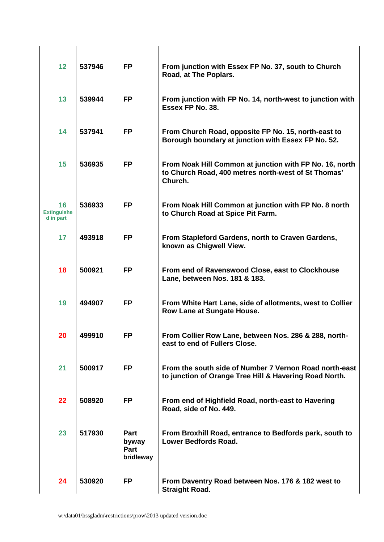| 12                                    | 537946 | <b>FP</b>                          | From junction with Essex FP No. 37, south to Church<br>Road, at The Poplars.                                              |
|---------------------------------------|--------|------------------------------------|---------------------------------------------------------------------------------------------------------------------------|
| 13                                    | 539944 | <b>FP</b>                          | From junction with FP No. 14, north-west to junction with<br>Essex FP No. 38.                                             |
| 14                                    | 537941 | <b>FP</b>                          | From Church Road, opposite FP No. 15, north-east to<br>Borough boundary at junction with Essex FP No. 52.                 |
| 15                                    | 536935 | <b>FP</b>                          | From Noak Hill Common at junction with FP No. 16, north<br>to Church Road, 400 metres north-west of St Thomas'<br>Church. |
| 16<br><b>Extinguishe</b><br>d in part | 536933 | <b>FP</b>                          | From Noak Hill Common at junction with FP No. 8 north<br>to Church Road at Spice Pit Farm.                                |
| 17                                    | 493918 | <b>FP</b>                          | From Stapleford Gardens, north to Craven Gardens,<br>known as Chigwell View.                                              |
| 18                                    | 500921 | <b>FP</b>                          | From end of Ravenswood Close, east to Clockhouse<br>Lane, between Nos. 181 & 183.                                         |
| 19                                    | 494907 | <b>FP</b>                          | From White Hart Lane, side of allotments, west to Collier<br>Row Lane at Sungate House.                                   |
| 20                                    | 499910 | <b>FP</b>                          | From Collier Row Lane, between Nos. 286 & 288, north-<br>east to end of Fullers Close.                                    |
| 21                                    | 500917 | <b>FP</b>                          | From the south side of Number 7 Vernon Road north-east<br>to junction of Orange Tree Hill & Havering Road North.          |
| 22                                    | 508920 | <b>FP</b>                          | From end of Highfield Road, north-east to Havering<br>Road, side of No. 449.                                              |
| 23                                    | 517930 | Part<br>byway<br>Part<br>bridleway | From Broxhill Road, entrance to Bedfords park, south to<br><b>Lower Bedfords Road.</b>                                    |
| 24                                    | 530920 | <b>FP</b>                          | From Daventry Road between Nos. 176 & 182 west to<br><b>Straight Road.</b>                                                |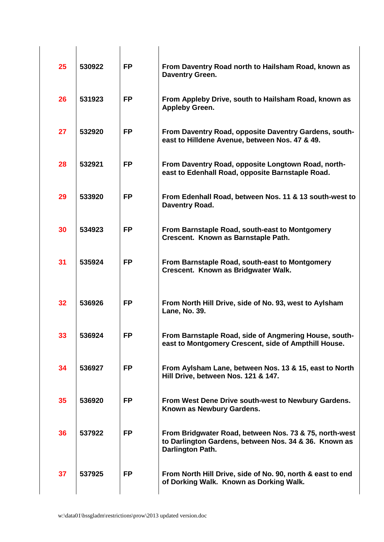| 25 | 530922 | <b>FP</b> | From Daventry Road north to Hailsham Road, known as<br>Daventry Green.                                                              |
|----|--------|-----------|-------------------------------------------------------------------------------------------------------------------------------------|
| 26 | 531923 | <b>FP</b> | From Appleby Drive, south to Hailsham Road, known as<br><b>Appleby Green.</b>                                                       |
| 27 | 532920 | <b>FP</b> | From Daventry Road, opposite Daventry Gardens, south-<br>east to Hilldene Avenue, between Nos. 47 & 49.                             |
| 28 | 532921 | <b>FP</b> | From Daventry Road, opposite Longtown Road, north-<br>east to Edenhall Road, opposite Barnstaple Road.                              |
| 29 | 533920 | <b>FP</b> | From Edenhall Road, between Nos. 11 & 13 south-west to<br>Daventry Road.                                                            |
| 30 | 534923 | <b>FP</b> | From Barnstaple Road, south-east to Montgomery<br>Crescent. Known as Barnstaple Path.                                               |
| 31 | 535924 | <b>FP</b> | From Barnstaple Road, south-east to Montgomery<br>Crescent. Known as Bridgwater Walk.                                               |
| 32 | 536926 | <b>FP</b> | From North Hill Drive, side of No. 93, west to Aylsham<br>Lane, No. 39.                                                             |
| 33 | 536924 | <b>FP</b> | From Barnstaple Road, side of Angmering House, south-<br>east to Montgomery Crescent, side of Ampthill House.                       |
| 34 | 536927 | <b>FP</b> | From Aylsham Lane, between Nos. 13 & 15, east to North<br>Hill Drive, between Nos. 121 & 147.                                       |
| 35 | 536920 | <b>FP</b> | From West Dene Drive south-west to Newbury Gardens.<br>Known as Newbury Gardens.                                                    |
| 36 | 537922 | <b>FP</b> | From Bridgwater Road, between Nos. 73 & 75, north-west<br>to Darlington Gardens, between Nos. 34 & 36. Known as<br>Darlington Path. |
| 37 | 537925 | <b>FP</b> | From North Hill Drive, side of No. 90, north & east to end<br>of Dorking Walk. Known as Dorking Walk.                               |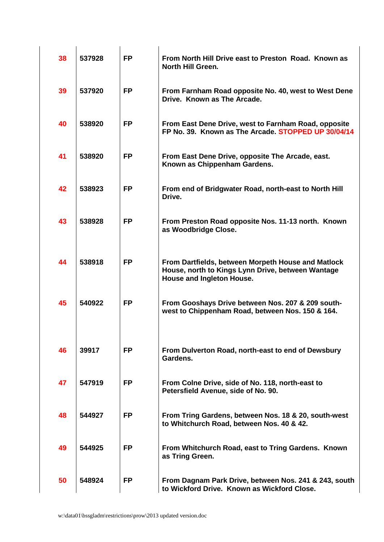| 38 | 537928 | <b>FP</b> | From North Hill Drive east to Preston Road. Known as<br><b>North Hill Green.</b>                                                     |
|----|--------|-----------|--------------------------------------------------------------------------------------------------------------------------------------|
| 39 | 537920 | <b>FP</b> | From Farnham Road opposite No. 40, west to West Dene<br>Drive. Known as The Arcade.                                                  |
| 40 | 538920 | <b>FP</b> | From East Dene Drive, west to Farnham Road, opposite<br>FP No. 39. Known as The Arcade. STOPPED UP 30/04/14                          |
| 41 | 538920 | <b>FP</b> | From East Dene Drive, opposite The Arcade, east.<br>Known as Chippenham Gardens.                                                     |
| 42 | 538923 | <b>FP</b> | From end of Bridgwater Road, north-east to North Hill<br>Drive.                                                                      |
| 43 | 538928 | <b>FP</b> | From Preston Road opposite Nos. 11-13 north. Known<br>as Woodbridge Close.                                                           |
| 44 | 538918 | <b>FP</b> | From Dartfields, between Morpeth House and Matlock<br>House, north to Kings Lynn Drive, between Wantage<br>House and Ingleton House. |
| 45 | 540922 | <b>FP</b> | From Gooshays Drive between Nos. 207 & 209 south-<br>west to Chippenham Road, between Nos. 150 & 164.                                |
|    |        |           |                                                                                                                                      |
| 46 | 39917  | <b>FP</b> | From Dulverton Road, north-east to end of Dewsbury<br>Gardens.                                                                       |
| 47 | 547919 | <b>FP</b> | From Colne Drive, side of No. 118, north-east to<br>Petersfield Avenue, side of No. 90.                                              |
| 48 | 544927 | <b>FP</b> | From Tring Gardens, between Nos. 18 & 20, south-west<br>to Whitchurch Road, between Nos. 40 & 42.                                    |
| 49 | 544925 | <b>FP</b> | From Whitchurch Road, east to Tring Gardens. Known<br>as Tring Green.                                                                |
| 50 | 548924 | <b>FP</b> | From Dagnam Park Drive, between Nos. 241 & 243, south<br>to Wickford Drive. Known as Wickford Close.                                 |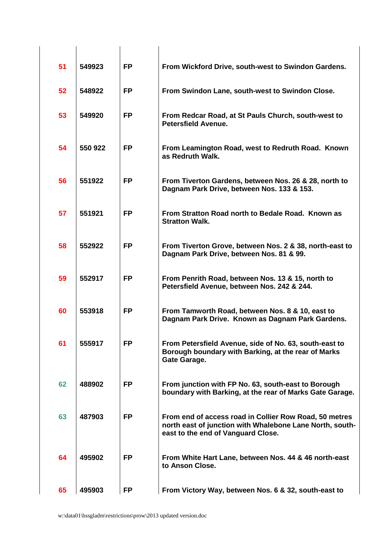| 51 | 549923  | <b>FP</b> | From Wickford Drive, south-west to Swindon Gardens.                                                                                                      |
|----|---------|-----------|----------------------------------------------------------------------------------------------------------------------------------------------------------|
| 52 | 548922  | <b>FP</b> | From Swindon Lane, south-west to Swindon Close.                                                                                                          |
| 53 | 549920  | <b>FP</b> | From Redcar Road, at St Pauls Church, south-west to<br><b>Petersfield Avenue.</b>                                                                        |
| 54 | 550 922 | <b>FP</b> | From Leamington Road, west to Redruth Road. Known<br>as Redruth Walk.                                                                                    |
| 56 | 551922  | <b>FP</b> | From Tiverton Gardens, between Nos. 26 & 28, north to<br>Dagnam Park Drive, between Nos. 133 & 153.                                                      |
| 57 | 551921  | <b>FP</b> | From Stratton Road north to Bedale Road. Known as<br><b>Stratton Walk.</b>                                                                               |
| 58 | 552922  | <b>FP</b> | From Tiverton Grove, between Nos. 2 & 38, north-east to<br>Dagnam Park Drive, between Nos. 81 & 99.                                                      |
| 59 | 552917  | <b>FP</b> | From Penrith Road, between Nos. 13 & 15, north to<br>Petersfield Avenue, between Nos. 242 & 244.                                                         |
| 60 | 553918  | <b>FP</b> | From Tamworth Road, between Nos. 8 & 10, east to<br>Dagnam Park Drive. Known as Dagnam Park Gardens.                                                     |
| 61 | 555917  | <b>FP</b> | From Petersfield Avenue, side of No. 63, south-east to<br>Borough boundary with Barking, at the rear of Marks<br><b>Gate Garage.</b>                     |
| 62 | 488902  | <b>FP</b> | From junction with FP No. 63, south-east to Borough<br>boundary with Barking, at the rear of Marks Gate Garage.                                          |
| 63 | 487903  | <b>FP</b> | From end of access road in Collier Row Road, 50 metres<br>north east of junction with Whalebone Lane North, south-<br>east to the end of Vanguard Close. |
| 64 | 495902  | <b>FP</b> | From White Hart Lane, between Nos. 44 & 46 north-east<br>to Anson Close.                                                                                 |
| 65 | 495903  | <b>FP</b> | From Victory Way, between Nos. 6 & 32, south-east to                                                                                                     |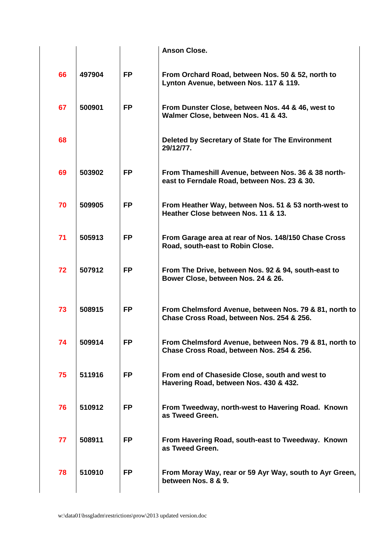|    |        |           | <b>Anson Close.</b>                                                                                 |
|----|--------|-----------|-----------------------------------------------------------------------------------------------------|
| 66 | 497904 | <b>FP</b> | From Orchard Road, between Nos. 50 & 52, north to<br>Lynton Avenue, between Nos. 117 & 119.         |
| 67 | 500901 | <b>FP</b> | From Dunster Close, between Nos. 44 & 46, west to<br>Walmer Close, between Nos. 41 & 43.            |
| 68 |        |           | Deleted by Secretary of State for The Environment<br>29/12/77.                                      |
| 69 | 503902 | <b>FP</b> | From Thameshill Avenue, between Nos. 36 & 38 north-<br>east to Ferndale Road, between Nos. 23 & 30. |
| 70 | 509905 | <b>FP</b> | From Heather Way, between Nos. 51 & 53 north-west to<br>Heather Close between Nos. 11 & 13.         |
| 71 | 505913 | <b>FP</b> | From Garage area at rear of Nos. 148/150 Chase Cross<br>Road, south-east to Robin Close.            |
| 72 | 507912 | <b>FP</b> | From The Drive, between Nos. 92 & 94, south-east to<br>Bower Close, between Nos. 24 & 26.           |
| 73 | 508915 | <b>FP</b> | From Chelmsford Avenue, between Nos. 79 & 81, north to<br>Chase Cross Road, between Nos. 254 & 256. |
| 74 | 509914 | <b>FP</b> | From Chelmsford Avenue, between Nos. 79 & 81, north to<br>Chase Cross Road, between Nos. 254 & 256. |
| 75 | 511916 | <b>FP</b> | From end of Chaseside Close, south and west to<br>Havering Road, between Nos. 430 & 432.            |
| 76 | 510912 | <b>FP</b> | From Tweedway, north-west to Havering Road. Known<br>as Tweed Green.                                |
| 77 | 508911 | <b>FP</b> | From Havering Road, south-east to Tweedway. Known<br>as Tweed Green.                                |
| 78 | 510910 | <b>FP</b> | From Moray Way, rear or 59 Ayr Way, south to Ayr Green,<br>between Nos. 8 & 9.                      |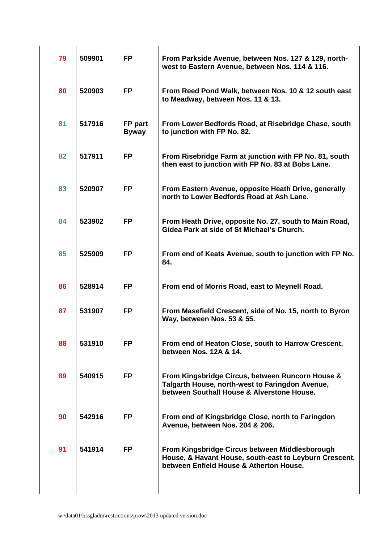| 79 | 509901 | <b>FP</b>               | From Parkside Avenue, between Nos. 127 & 129, north-<br>west to Eastern Avenue, between Nos. 114 & 116.                                             |
|----|--------|-------------------------|-----------------------------------------------------------------------------------------------------------------------------------------------------|
| 80 | 520903 | <b>FP</b>               | From Reed Pond Walk, between Nos. 10 & 12 south east<br>to Meadway, between Nos. 11 & 13.                                                           |
| 81 | 517916 | FP part<br><b>Byway</b> | From Lower Bedfords Road, at Risebridge Chase, south<br>to junction with FP No. 82.                                                                 |
| 82 | 517911 | <b>FP</b>               | From Risebridge Farm at junction with FP No. 81, south<br>then east to junction with FP No. 83 at Bobs Lane.                                        |
| 83 | 520907 | <b>FP</b>               | From Eastern Avenue, opposite Heath Drive, generally<br>north to Lower Bedfords Road at Ash Lane.                                                   |
| 84 | 523902 | <b>FP</b>               | From Heath Drive, opposite No. 27, south to Main Road,<br>Gidea Park at side of St Michael's Church.                                                |
| 85 | 525909 | <b>FP</b>               | From end of Keats Avenue, south to junction with FP No.<br>84.                                                                                      |
| 86 | 528914 | <b>FP</b>               | From end of Morris Road, east to Meynell Road.                                                                                                      |
| 87 | 531907 | <b>FP</b>               | From Masefield Crescent, side of No. 15, north to Byron<br>Way, between Nos. 53 & 55.                                                               |
| 88 | 531910 | <b>FP</b>               | From end of Heaton Close, south to Harrow Crescent,<br>between Nos. 12A & 14.                                                                       |
| 89 | 540915 | <b>FP</b>               | From Kingsbridge Circus, between Runcorn House &<br>Talgarth House, north-west to Faringdon Avenue,<br>between Southall House & Alverstone House.   |
| 90 | 542916 | <b>FP</b>               | From end of Kingsbridge Close, north to Faringdon<br>Avenue, between Nos. 204 & 206.                                                                |
| 91 | 541914 | <b>FP</b>               | From Kingsbridge Circus between Middlesborough<br>House, & Havant House, south-east to Leyburn Crescent,<br>between Enfield House & Atherton House. |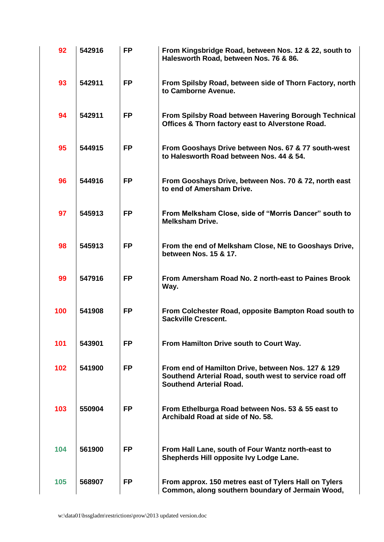| 92  | 542916 | <b>FP</b> | From Kingsbridge Road, between Nos. 12 & 22, south to<br>Halesworth Road, between Nos. 76 & 86.                                                |
|-----|--------|-----------|------------------------------------------------------------------------------------------------------------------------------------------------|
| 93  | 542911 | <b>FP</b> | From Spilsby Road, between side of Thorn Factory, north<br>to Camborne Avenue.                                                                 |
| 94  | 542911 | <b>FP</b> | From Spilsby Road between Havering Borough Technical<br>Offices & Thorn factory east to Alverstone Road.                                       |
| 95  | 544915 | <b>FP</b> | From Gooshays Drive between Nos. 67 & 77 south-west<br>to Halesworth Road between Nos. 44 & 54.                                                |
| 96  | 544916 | <b>FP</b> | From Gooshays Drive, between Nos. 70 & 72, north east<br>to end of Amersham Drive.                                                             |
| 97  | 545913 | <b>FP</b> | From Melksham Close, side of "Morris Dancer" south to<br><b>Melksham Drive.</b>                                                                |
| 98  | 545913 | <b>FP</b> | From the end of Melksham Close, NE to Gooshays Drive,<br>between Nos. 15 & 17.                                                                 |
| 99  | 547916 | <b>FP</b> | From Amersham Road No. 2 north-east to Paines Brook<br>Way.                                                                                    |
| 100 | 541908 | <b>FP</b> | From Colchester Road, opposite Bampton Road south to<br><b>Sackville Crescent.</b>                                                             |
| 101 | 543901 | <b>FP</b> | From Hamilton Drive south to Court Way.                                                                                                        |
| 102 | 541900 | <b>FP</b> | From end of Hamilton Drive, between Nos. 127 & 129<br>Southend Arterial Road, south west to service road off<br><b>Southend Arterial Road.</b> |
| 103 | 550904 | <b>FP</b> | From Ethelburga Road between Nos. 53 & 55 east to<br>Archibald Road at side of No. 58.                                                         |
| 104 | 561900 | <b>FP</b> | From Hall Lane, south of Four Wantz north-east to<br>Shepherds Hill opposite Ivy Lodge Lane.                                                   |
| 105 | 568907 | <b>FP</b> | From approx. 150 metres east of Tylers Hall on Tylers<br>Common, along southern boundary of Jermain Wood,                                      |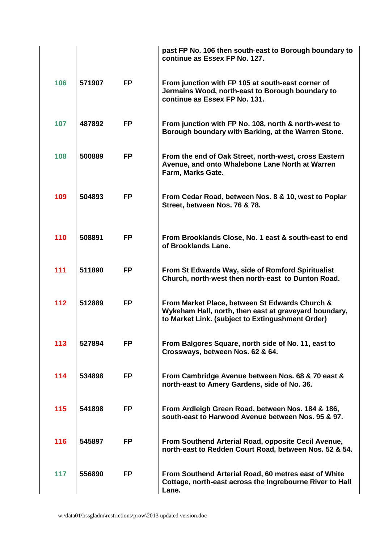|     |        |           | past FP No. 106 then south-east to Borough boundary to<br>continue as Essex FP No. 127.                                                                     |
|-----|--------|-----------|-------------------------------------------------------------------------------------------------------------------------------------------------------------|
| 106 | 571907 | <b>FP</b> | From junction with FP 105 at south-east corner of<br>Jermains Wood, north-east to Borough boundary to<br>continue as Essex FP No. 131.                      |
| 107 | 487892 | <b>FP</b> | From junction with FP No. 108, north & north-west to<br>Borough boundary with Barking, at the Warren Stone.                                                 |
| 108 | 500889 | <b>FP</b> | From the end of Oak Street, north-west, cross Eastern<br>Avenue, and onto Whalebone Lane North at Warren<br>Farm, Marks Gate.                               |
| 109 | 504893 | <b>FP</b> | From Cedar Road, between Nos. 8 & 10, west to Poplar<br>Street, between Nos. 76 & 78.                                                                       |
| 110 | 508891 | <b>FP</b> | From Brooklands Close, No. 1 east & south-east to end<br>of Brooklands Lane.                                                                                |
| 111 | 511890 | <b>FP</b> | From St Edwards Way, side of Romford Spiritualist<br>Church, north-west then north-east to Dunton Road.                                                     |
| 112 | 512889 | <b>FP</b> | From Market Place, between St Edwards Church &<br>Wykeham Hall, north, then east at graveyard boundary,<br>to Market Link. (subject to Extingushment Order) |
| 113 | 527894 | <b>FP</b> | From Balgores Square, north side of No. 11, east to<br>Crossways, between Nos. 62 & 64.                                                                     |
| 114 | 534898 | <b>FP</b> | From Cambridge Avenue between Nos. 68 & 70 east &<br>north-east to Amery Gardens, side of No. 36.                                                           |
| 115 | 541898 | <b>FP</b> | From Ardleigh Green Road, between Nos. 184 & 186,<br>south-east to Harwood Avenue between Nos. 95 & 97.                                                     |
| 116 | 545897 | <b>FP</b> | From Southend Arterial Road, opposite Cecil Avenue,<br>north-east to Redden Court Road, between Nos. 52 & 54.                                               |
| 117 | 556890 | <b>FP</b> | From Southend Arterial Road, 60 metres east of White<br>Cottage, north-east across the Ingrebourne River to Hall<br>Lane.                                   |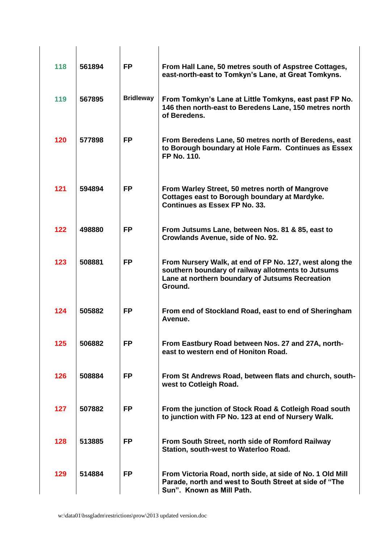| 118 | 561894 | <b>FP</b>        | From Hall Lane, 50 metres south of Aspstree Cottages,<br>east-north-east to Tomkyn's Lane, at Great Tomkyns.                                                                |
|-----|--------|------------------|-----------------------------------------------------------------------------------------------------------------------------------------------------------------------------|
| 119 | 567895 | <b>Bridleway</b> | From Tomkyn's Lane at Little Tomkyns, east past FP No.<br>146 then north-east to Beredens Lane, 150 metres north<br>of Beredens.                                            |
| 120 | 577898 | <b>FP</b>        | From Beredens Lane, 50 metres north of Beredens, east<br>to Borough boundary at Hole Farm. Continues as Essex<br>FP No. 110.                                                |
| 121 | 594894 | <b>FP</b>        | From Warley Street, 50 metres north of Mangrove<br>Cottages east to Borough boundary at Mardyke.<br>Continues as Essex FP No. 33.                                           |
| 122 | 498880 | <b>FP</b>        | From Jutsums Lane, between Nos. 81 & 85, east to<br>Crowlands Avenue, side of No. 92.                                                                                       |
| 123 | 508881 | <b>FP</b>        | From Nursery Walk, at end of FP No. 127, west along the<br>southern boundary of railway allotments to Jutsums<br>Lane at northern boundary of Jutsums Recreation<br>Ground. |
| 124 | 505882 | FP               | From end of Stockland Road, east to end of Sheringham<br>Avenue.                                                                                                            |
| 125 | 506882 | <b>FP</b>        | From Eastbury Road between Nos. 27 and 27A, north-<br>east to western end of Honiton Road.                                                                                  |
| 126 | 508884 | FP               | From St Andrews Road, between flats and church, south-<br>west to Cotleigh Road.                                                                                            |
| 127 | 507882 | <b>FP</b>        | From the junction of Stock Road & Cotleigh Road south<br>to junction with FP No. 123 at end of Nursery Walk.                                                                |
| 128 | 513885 | <b>FP</b>        | From South Street, north side of Romford Railway<br>Station, south-west to Waterloo Road.                                                                                   |
| 129 | 514884 | <b>FP</b>        | From Victoria Road, north side, at side of No. 1 Old Mill<br>Parade, north and west to South Street at side of "The<br>Sun". Known as Mill Path.                            |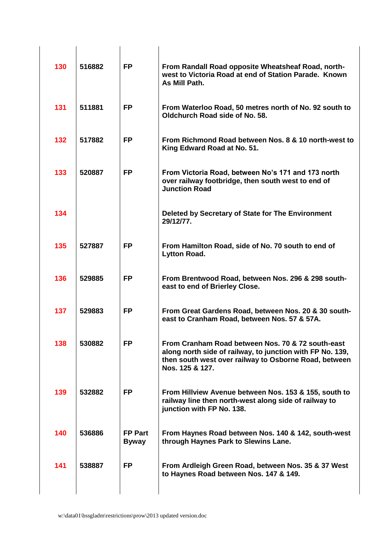| 130 | 516882 | <b>FP</b>                      | From Randall Road opposite Wheatsheaf Road, north-<br>west to Victoria Road at end of Station Parade. Known<br>As Mill Path.                                                               |
|-----|--------|--------------------------------|--------------------------------------------------------------------------------------------------------------------------------------------------------------------------------------------|
| 131 | 511881 | <b>FP</b>                      | From Waterloo Road, 50 metres north of No. 92 south to<br>Oldchurch Road side of No. 58.                                                                                                   |
| 132 | 517882 | <b>FP</b>                      | From Richmond Road between Nos. 8 & 10 north-west to<br>King Edward Road at No. 51.                                                                                                        |
| 133 | 520887 | <b>FP</b>                      | From Victoria Road, between No's 171 and 173 north<br>over railway footbridge, then south west to end of<br><b>Junction Road</b>                                                           |
| 134 |        |                                | Deleted by Secretary of State for The Environment<br>29/12/77.                                                                                                                             |
| 135 | 527887 | <b>FP</b>                      | From Hamilton Road, side of No. 70 south to end of<br><b>Lytton Road.</b>                                                                                                                  |
| 136 | 529885 | <b>FP</b>                      | From Brentwood Road, between Nos. 296 & 298 south-<br>east to end of Brierley Close.                                                                                                       |
| 137 | 529883 | <b>FP</b>                      | From Great Gardens Road, between Nos. 20 & 30 south-<br>east to Cranham Road, between Nos. 57 & 57A.                                                                                       |
| 138 | 530882 | <b>FP</b>                      | From Cranham Road between Nos. 70 & 72 south-east<br>along north side of railway, to junction with FP No. 139,<br>then south west over railway to Osborne Road, between<br>Nos. 125 & 127. |
| 139 | 532882 | <b>FP</b>                      | From Hillview Avenue between Nos. 153 & 155, south to<br>railway line then north-west along side of railway to<br>junction with FP No. 138.                                                |
| 140 | 536886 | <b>FP Part</b><br><b>Byway</b> | From Haynes Road between Nos. 140 & 142, south-west<br>through Haynes Park to Slewins Lane.                                                                                                |
| 141 | 538887 | <b>FP</b>                      | From Ardleigh Green Road, between Nos. 35 & 37 West<br>to Haynes Road between Nos. 147 & 149.                                                                                              |
|     |        |                                |                                                                                                                                                                                            |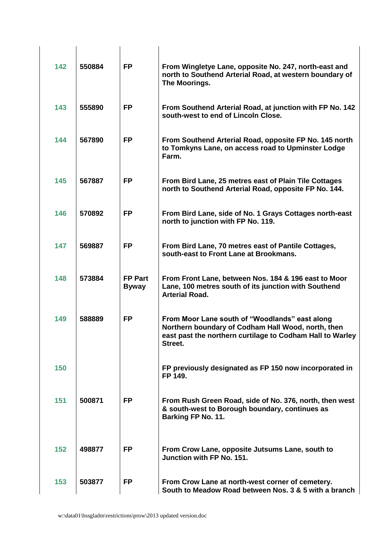| 142 | 550884 | <b>FP</b>                      | From Wingletye Lane, opposite No. 247, north-east and<br>north to Southend Arterial Road, at western boundary of<br>The Moorings.                                            |
|-----|--------|--------------------------------|------------------------------------------------------------------------------------------------------------------------------------------------------------------------------|
| 143 | 555890 | <b>FP</b>                      | From Southend Arterial Road, at junction with FP No. 142<br>south-west to end of Lincoln Close.                                                                              |
| 144 | 567890 | <b>FP</b>                      | From Southend Arterial Road, opposite FP No. 145 north<br>to Tomkyns Lane, on access road to Upminster Lodge<br>Farm.                                                        |
| 145 | 567887 | <b>FP</b>                      | From Bird Lane, 25 metres east of Plain Tile Cottages<br>north to Southend Arterial Road, opposite FP No. 144.                                                               |
| 146 | 570892 | <b>FP</b>                      | From Bird Lane, side of No. 1 Grays Cottages north-east<br>north to junction with FP No. 119.                                                                                |
| 147 | 569887 | <b>FP</b>                      | From Bird Lane, 70 metres east of Pantile Cottages,<br>south-east to Front Lane at Brookmans.                                                                                |
| 148 | 573884 | <b>FP Part</b><br><b>Byway</b> | From Front Lane, between Nos. 184 & 196 east to Moor<br>Lane, 100 metres south of its junction with Southend<br><b>Arterial Road.</b>                                        |
| 149 | 588889 | <b>FP</b>                      | From Moor Lane south of "Woodlands" east along<br>Northern boundary of Codham Hall Wood, north, then<br>east past the northern curtilage to Codham Hall to Warley<br>Street. |
| 150 |        |                                | FP previously designated as FP 150 now incorporated in<br>FP 149.                                                                                                            |
| 151 | 500871 | <b>FP</b>                      | From Rush Green Road, side of No. 376, north, then west<br>& south-west to Borough boundary, continues as<br>Barking FP No. 11.                                              |
| 152 | 498877 | <b>FP</b>                      | From Crow Lane, opposite Jutsums Lane, south to<br>Junction with FP No. 151.                                                                                                 |
| 153 | 503877 | <b>FP</b>                      | From Crow Lane at north-west corner of cemetery.<br>South to Meadow Road between Nos. 3 & 5 with a branch                                                                    |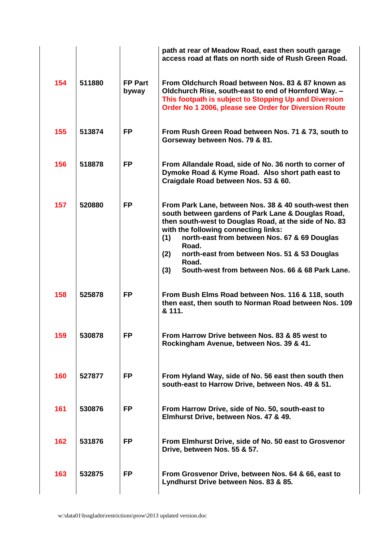|     |        |                         | path at rear of Meadow Road, east then south garage<br>access road at flats on north side of Rush Green Road.                                                                                                                                                                                                                                                                                          |
|-----|--------|-------------------------|--------------------------------------------------------------------------------------------------------------------------------------------------------------------------------------------------------------------------------------------------------------------------------------------------------------------------------------------------------------------------------------------------------|
| 154 | 511880 | <b>FP Part</b><br>byway | From Oldchurch Road between Nos. 83 & 87 known as<br>Oldchurch Rise, south-east to end of Hornford Way. -<br>This footpath is subject to Stopping Up and Diversion<br>Order No 1 2006, please see Order for Diversion Route                                                                                                                                                                            |
| 155 | 513874 | <b>FP</b>               | From Rush Green Road between Nos. 71 & 73, south to<br>Gorseway between Nos. 79 & 81.                                                                                                                                                                                                                                                                                                                  |
| 156 | 518878 | <b>FP</b>               | From Allandale Road, side of No. 36 north to corner of<br>Dymoke Road & Kyme Road. Also short path east to<br>Craigdale Road between Nos. 53 & 60.                                                                                                                                                                                                                                                     |
| 157 | 520880 | <b>FP</b>               | From Park Lane, between Nos. 38 & 40 south-west then<br>south between gardens of Park Lane & Douglas Road,<br>then south-west to Douglas Road, at the side of No. 83<br>with the following connecting links:<br>(1)<br>north-east from between Nos. 67 & 69 Douglas<br>Road.<br>(2)<br>north-east from between Nos. 51 & 53 Douglas<br>Road.<br>South-west from between Nos. 66 & 68 Park Lane.<br>(3) |
| 158 | 525878 | <b>FP</b>               | From Bush Elms Road between Nos. 116 & 118, south<br>then east, then south to Norman Road between Nos. 109<br>& 111.                                                                                                                                                                                                                                                                                   |
| 159 | 530878 | FP.                     | From Harrow Drive between Nos. 83 & 85 west to<br>Rockingham Avenue, between Nos. 39 & 41.                                                                                                                                                                                                                                                                                                             |
| 160 | 527877 | <b>FP</b>               | From Hyland Way, side of No. 56 east then south then<br>south-east to Harrow Drive, between Nos. 49 & 51.                                                                                                                                                                                                                                                                                              |
| 161 | 530876 | <b>FP</b>               | From Harrow Drive, side of No. 50, south-east to<br>Elmhurst Drive, between Nos. 47 & 49.                                                                                                                                                                                                                                                                                                              |
| 162 | 531876 | <b>FP</b>               | From Elmhurst Drive, side of No. 50 east to Grosvenor<br>Drive, between Nos. 55 & 57.                                                                                                                                                                                                                                                                                                                  |
| 163 | 532875 | FP                      | From Grosvenor Drive, between Nos. 64 & 66, east to<br>Lyndhurst Drive between Nos. 83 & 85.                                                                                                                                                                                                                                                                                                           |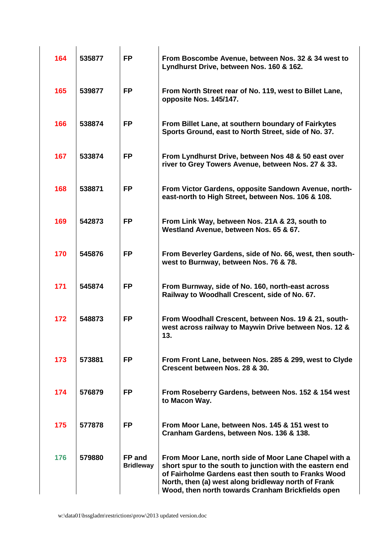| 164 | 535877 | <b>FP</b>                  | From Boscombe Avenue, between Nos. 32 & 34 west to<br>Lyndhurst Drive, between Nos. 160 & 162.                                                                                                                                                                                       |
|-----|--------|----------------------------|--------------------------------------------------------------------------------------------------------------------------------------------------------------------------------------------------------------------------------------------------------------------------------------|
| 165 | 539877 | <b>FP</b>                  | From North Street rear of No. 119, west to Billet Lane,<br>opposite Nos. 145/147.                                                                                                                                                                                                    |
| 166 | 538874 | <b>FP</b>                  | From Billet Lane, at southern boundary of Fairkytes<br>Sports Ground, east to North Street, side of No. 37.                                                                                                                                                                          |
| 167 | 533874 | <b>FP</b>                  | From Lyndhurst Drive, between Nos 48 & 50 east over<br>river to Grey Towers Avenue, between Nos. 27 & 33.                                                                                                                                                                            |
| 168 | 538871 | <b>FP</b>                  | From Victor Gardens, opposite Sandown Avenue, north-<br>east-north to High Street, between Nos. 106 & 108.                                                                                                                                                                           |
| 169 | 542873 | <b>FP</b>                  | From Link Way, between Nos. 21A & 23, south to<br>Westland Avenue, between Nos. 65 & 67.                                                                                                                                                                                             |
| 170 | 545876 | <b>FP</b>                  | From Beverley Gardens, side of No. 66, west, then south-<br>west to Burnway, between Nos. 76 & 78.                                                                                                                                                                                   |
| 171 | 545874 | <b>FP</b>                  | From Burnway, side of No. 160, north-east across<br>Railway to Woodhall Crescent, side of No. 67.                                                                                                                                                                                    |
| 172 | 548873 | <b>FP</b>                  | From Woodhall Crescent, between Nos. 19 & 21, south-<br>west across railway to Maywin Drive between Nos. 12 &<br>13.                                                                                                                                                                 |
| 173 | 573881 | <b>FP</b>                  | From Front Lane, between Nos. 285 & 299, west to Clyde<br>Crescent between Nos. 28 & 30.                                                                                                                                                                                             |
| 174 | 576879 | <b>FP</b>                  | From Roseberry Gardens, between Nos. 152 & 154 west<br>to Macon Way.                                                                                                                                                                                                                 |
| 175 | 577878 | <b>FP</b>                  | From Moor Lane, between Nos. 145 & 151 west to<br>Cranham Gardens, between Nos. 136 & 138.                                                                                                                                                                                           |
| 176 | 579880 | FP and<br><b>Bridleway</b> | From Moor Lane, north side of Moor Lane Chapel with a<br>short spur to the south to junction with the eastern end<br>of Fairholme Gardens east then south to Franks Wood<br>North, then (a) west along bridleway north of Frank<br>Wood, then north towards Cranham Brickfields open |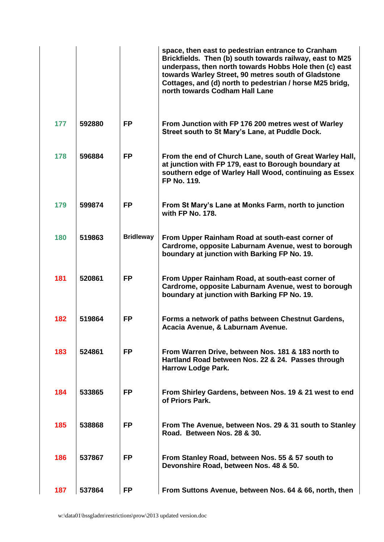|     |        |                  | space, then east to pedestrian entrance to Cranham<br>Brickfields. Then (b) south towards railway, east to M25<br>underpass, then north towards Hobbs Hole then (c) east<br>towards Warley Street, 90 metres south of Gladstone<br>Cottages, and (d) north to pedestrian / horse M25 bridg,<br>north towards Codham Hall Lane |
|-----|--------|------------------|-------------------------------------------------------------------------------------------------------------------------------------------------------------------------------------------------------------------------------------------------------------------------------------------------------------------------------|
| 177 | 592880 | <b>FP</b>        | From Junction with FP 176 200 metres west of Warley<br>Street south to St Mary's Lane, at Puddle Dock.                                                                                                                                                                                                                        |
| 178 | 596884 | <b>FP</b>        | From the end of Church Lane, south of Great Warley Hall,<br>at junction with FP 179, east to Borough boundary at<br>southern edge of Warley Hall Wood, continuing as Essex<br>FP No. 119.                                                                                                                                     |
| 179 | 599874 | <b>FP</b>        | From St Mary's Lane at Monks Farm, north to junction<br>with FP No. 178.                                                                                                                                                                                                                                                      |
| 180 | 519863 | <b>Bridleway</b> | From Upper Rainham Road at south-east corner of<br>Cardrome, opposite Laburnam Avenue, west to borough<br>boundary at junction with Barking FP No. 19.                                                                                                                                                                        |
| 181 | 520861 | <b>FP</b>        | From Upper Rainham Road, at south-east corner of<br>Cardrome, opposite Laburnam Avenue, west to borough<br>boundary at junction with Barking FP No. 19.                                                                                                                                                                       |
| 182 | 519864 | <b>FP</b>        | Forms a network of paths between Chestnut Gardens,<br>Acacia Avenue, & Laburnam Avenue.                                                                                                                                                                                                                                       |
| 183 | 524861 | <b>FP</b>        | From Warren Drive, between Nos. 181 & 183 north to<br>Hartland Road between Nos. 22 & 24. Passes through<br><b>Harrow Lodge Park.</b>                                                                                                                                                                                         |
| 184 | 533865 | <b>FP</b>        | From Shirley Gardens, between Nos. 19 & 21 west to end<br>of Priors Park.                                                                                                                                                                                                                                                     |
| 185 | 538868 | <b>FP</b>        | From The Avenue, between Nos. 29 & 31 south to Stanley<br>Road. Between Nos. 28 & 30.                                                                                                                                                                                                                                         |
| 186 | 537867 | <b>FP</b>        | From Stanley Road, between Nos. 55 & 57 south to<br>Devonshire Road, between Nos. 48 & 50.                                                                                                                                                                                                                                    |
| 187 | 537864 | <b>FP</b>        | From Suttons Avenue, between Nos. 64 & 66, north, then                                                                                                                                                                                                                                                                        |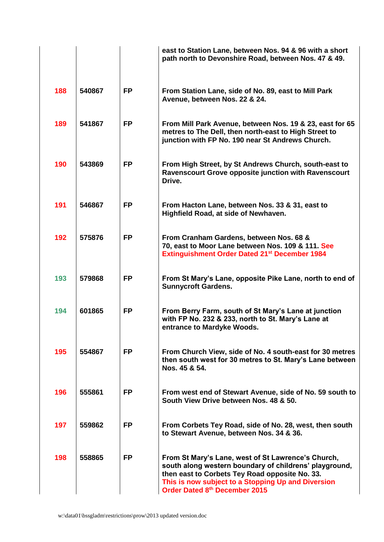|     |        |           | east to Station Lane, between Nos. 94 & 96 with a short<br>path north to Devonshire Road, between Nos. 47 & 49.                                                                                                                                       |
|-----|--------|-----------|-------------------------------------------------------------------------------------------------------------------------------------------------------------------------------------------------------------------------------------------------------|
| 188 | 540867 | <b>FP</b> | From Station Lane, side of No. 89, east to Mill Park<br>Avenue, between Nos. 22 & 24.                                                                                                                                                                 |
| 189 | 541867 | <b>FP</b> | From Mill Park Avenue, between Nos. 19 & 23, east for 65<br>metres to The Dell, then north-east to High Street to<br>junction with FP No. 190 near St Andrews Church.                                                                                 |
| 190 | 543869 | <b>FP</b> | From High Street, by St Andrews Church, south-east to<br><b>Ravenscourt Grove opposite junction with Ravenscourt</b><br>Drive.                                                                                                                        |
| 191 | 546867 | <b>FP</b> | From Hacton Lane, between Nos. 33 & 31, east to<br>Highfield Road, at side of Newhaven.                                                                                                                                                               |
| 192 | 575876 | <b>FP</b> | From Cranham Gardens, between Nos. 68 &<br>70, east to Moor Lane between Nos. 109 & 111. See<br><b>Extinguishment Order Dated 21st December 1984</b>                                                                                                  |
| 193 | 579868 | <b>FP</b> | From St Mary's Lane, opposite Pike Lane, north to end of<br><b>Sunnycroft Gardens.</b>                                                                                                                                                                |
| 194 | 601865 | <b>FP</b> | From Berry Farm, south of St Mary's Lane at junction<br>with FP No. 232 & 233, north to St. Mary's Lane at<br>entrance to Mardyke Woods.                                                                                                              |
| 195 | 554867 | <b>FP</b> | From Church View, side of No. 4 south-east for 30 metres<br>then south west for 30 metres to St. Mary's Lane between<br>Nos. 45 & 54.                                                                                                                 |
| 196 | 555861 | <b>FP</b> | From west end of Stewart Avenue, side of No. 59 south to<br>South View Drive between Nos. 48 & 50.                                                                                                                                                    |
| 197 | 559862 | <b>FP</b> | From Corbets Tey Road, side of No. 28, west, then south<br>to Stewart Avenue, between Nos. 34 & 36.                                                                                                                                                   |
| 198 | 558865 | <b>FP</b> | From St Mary's Lane, west of St Lawrence's Church,<br>south along western boundary of childrens' playground,<br>then east to Corbets Tey Road opposite No. 33.<br>This is now subject to a Stopping Up and Diversion<br>Order Dated 8th December 2015 |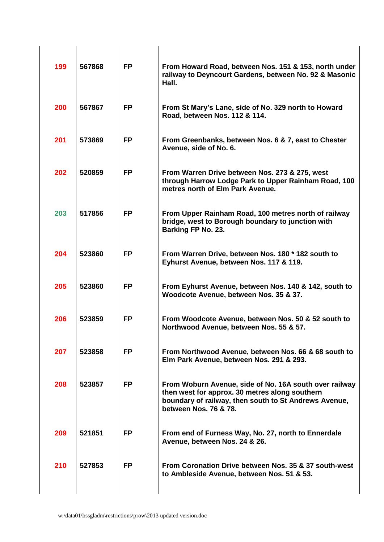| 199 | 567868 | <b>FP</b> | From Howard Road, between Nos. 151 & 153, north under<br>railway to Deyncourt Gardens, between No. 92 & Masonic<br>Hall.                                                                   |
|-----|--------|-----------|--------------------------------------------------------------------------------------------------------------------------------------------------------------------------------------------|
| 200 | 567867 | <b>FP</b> | From St Mary's Lane, side of No. 329 north to Howard<br>Road, between Nos. 112 & 114.                                                                                                      |
| 201 | 573869 | <b>FP</b> | From Greenbanks, between Nos. 6 & 7, east to Chester<br>Avenue, side of No. 6.                                                                                                             |
| 202 | 520859 | <b>FP</b> | From Warren Drive between Nos. 273 & 275, west<br>through Harrow Lodge Park to Upper Rainham Road, 100<br>metres north of Elm Park Avenue.                                                 |
| 203 | 517856 | <b>FP</b> | From Upper Rainham Road, 100 metres north of railway<br>bridge, west to Borough boundary to junction with<br>Barking FP No. 23.                                                            |
| 204 | 523860 | <b>FP</b> | From Warren Drive, between Nos. 180 * 182 south to<br>Eyhurst Avenue, between Nos. 117 & 119.                                                                                              |
| 205 | 523860 | <b>FP</b> | From Eyhurst Avenue, between Nos. 140 & 142, south to<br>Woodcote Avenue, between Nos. 35 & 37.                                                                                            |
| 206 | 523859 | <b>FP</b> | From Woodcote Avenue, between Nos. 50 & 52 south to<br>Northwood Avenue, between Nos. 55 & 57.                                                                                             |
| 207 | 523858 | <b>FP</b> | From Northwood Avenue, between Nos. 66 & 68 south to<br>Elm Park Avenue, between Nos. 291 & 293.                                                                                           |
| 208 | 523857 | <b>FP</b> | From Woburn Avenue, side of No. 16A south over railway<br>then west for approx. 30 metres along southern<br>boundary of railway, then south to St Andrews Avenue,<br>between Nos. 76 & 78. |
| 209 | 521851 | <b>FP</b> | From end of Furness Way, No. 27, north to Ennerdale<br>Avenue, between Nos. 24 & 26.                                                                                                       |
| 210 | 527853 | <b>FP</b> | From Coronation Drive between Nos. 35 & 37 south-west<br>to Ambleside Avenue, between Nos. 51 & 53.                                                                                        |
|     |        |           |                                                                                                                                                                                            |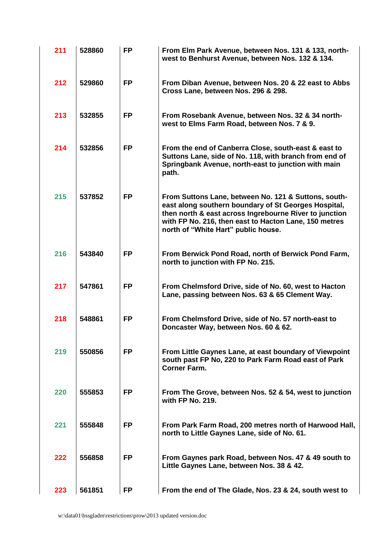| 211 | 528860 | <b>FP</b> | From Elm Park Avenue, between Nos. 131 & 133, north-<br>west to Benhurst Avenue, between Nos. 132 & 134.                                                                                                                                                               |
|-----|--------|-----------|------------------------------------------------------------------------------------------------------------------------------------------------------------------------------------------------------------------------------------------------------------------------|
| 212 | 529860 | <b>FP</b> | From Diban Avenue, between Nos. 20 & 22 east to Abbs<br>Cross Lane, between Nos. 296 & 298.                                                                                                                                                                            |
| 213 | 532855 | <b>FP</b> | From Rosebank Avenue, between Nos. 32 & 34 north-<br>west to Elms Farm Road, between Nos. 7 & 9.                                                                                                                                                                       |
| 214 | 532856 | <b>FP</b> | From the end of Canberra Close, south-east & east to<br>Suttons Lane, side of No. 118, with branch from end of<br>Springbank Avenue, north-east to junction with main<br>path.                                                                                         |
| 215 | 537852 | <b>FP</b> | From Suttons Lane, between No. 121 & Suttons, south-<br>east along southern boundary of St Georges Hospital,<br>then north & east across Ingrebourne River to junction<br>with FP No. 216, then east to Hacton Lane, 150 metres<br>north of "White Hart" public house. |
| 216 | 543840 | <b>FP</b> | From Berwick Pond Road, north of Berwick Pond Farm,<br>north to junction with FP No. 215.                                                                                                                                                                              |
| 217 | 547861 | <b>FP</b> | From Chelmsford Drive, side of No. 60, west to Hacton<br>Lane, passing between Nos. 63 & 65 Clement Way.                                                                                                                                                               |
| 218 | 548861 | <b>FP</b> | From Chelmsford Drive, side of No. 57 north-east to<br>Doncaster Way, between Nos. 60 & 62.                                                                                                                                                                            |
| 219 | 550856 | <b>FP</b> | From Little Gaynes Lane, at east boundary of Viewpoint<br>south past FP No, 220 to Park Farm Road east of Park<br><b>Corner Farm.</b>                                                                                                                                  |
| 220 | 555853 | <b>FP</b> | From The Grove, between Nos. 52 & 54, west to junction<br>with FP No. 219.                                                                                                                                                                                             |
| 221 | 555848 | <b>FP</b> | From Park Farm Road, 200 metres north of Harwood Hall,<br>north to Little Gaynes Lane, side of No. 61.                                                                                                                                                                 |
| 222 | 556858 | <b>FP</b> | From Gaynes park Road, between Nos. 47 & 49 south to<br>Little Gaynes Lane, between Nos. 38 & 42.                                                                                                                                                                      |
| 223 | 561851 | <b>FP</b> | From the end of The Glade, Nos. 23 & 24, south west to                                                                                                                                                                                                                 |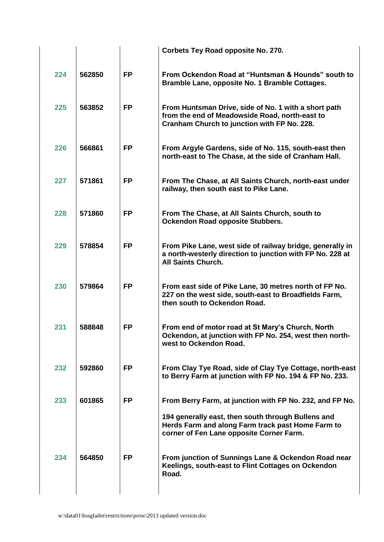|     |        |           | <b>Corbets Tey Road opposite No. 270.</b>                                                                                                             |
|-----|--------|-----------|-------------------------------------------------------------------------------------------------------------------------------------------------------|
| 224 | 562850 | <b>FP</b> | From Ockendon Road at "Huntsman & Hounds" south to<br>Bramble Lane, opposite No. 1 Bramble Cottages.                                                  |
| 225 | 563852 | <b>FP</b> | From Huntsman Drive, side of No. 1 with a short path<br>from the end of Meadowside Road, north-east to<br>Cranham Church to junction with FP No. 228. |
| 226 | 566861 | <b>FP</b> | From Argyle Gardens, side of No. 115, south-east then<br>north-east to The Chase, at the side of Cranham Hall.                                        |
| 227 | 571861 | <b>FP</b> | From The Chase, at All Saints Church, north-east under<br>railway, then south east to Pike Lane.                                                      |
| 228 | 571860 | <b>FP</b> | From The Chase, at All Saints Church, south to<br><b>Ockendon Road opposite Stubbers.</b>                                                             |
| 229 | 578854 | <b>FP</b> | From Pike Lane, west side of railway bridge, generally in<br>a north-westerly direction to junction with FP No. 228 at<br><b>All Saints Church.</b>   |
| 230 | 579864 | <b>FP</b> | From east side of Pike Lane, 30 metres north of FP No.<br>227 on the west side, south-east to Broadfields Farm,<br>then south to Ockendon Road.       |
| 231 | 588848 | <b>FP</b> | From end of motor road at St Mary's Church, North<br>Ockendon, at junction with FP No. 254, west then north-<br>west to Ockendon Road.                |
| 232 | 592860 | <b>FP</b> | From Clay Tye Road, side of Clay Tye Cottage, north-east<br>to Berry Farm at junction with FP No. 194 & FP No. 233.                                   |
| 233 | 601865 | <b>FP</b> | From Berry Farm, at junction with FP No. 232, and FP No.                                                                                              |
|     |        |           | 194 generally east, then south through Bullens and<br>Herds Farm and along Farm track past Home Farm to<br>corner of Fen Lane opposite Corner Farm.   |
| 234 | 564850 | <b>FP</b> | From junction of Sunnings Lane & Ockendon Road near<br>Keelings, south-east to Flint Cottages on Ockendon<br>Road.                                    |
|     |        |           |                                                                                                                                                       |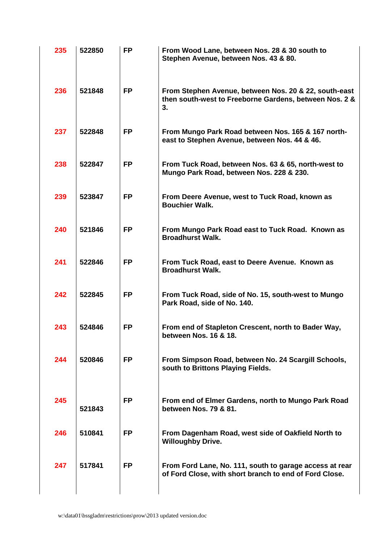| 235 | 522850 | <b>FP</b> | From Wood Lane, between Nos. 28 & 30 south to<br>Stephen Avenue, between Nos. 43 & 80.                                |
|-----|--------|-----------|-----------------------------------------------------------------------------------------------------------------------|
| 236 | 521848 | <b>FP</b> | From Stephen Avenue, between Nos. 20 & 22, south-east<br>then south-west to Freeborne Gardens, between Nos. 2 &<br>3. |
| 237 | 522848 | <b>FP</b> | From Mungo Park Road between Nos. 165 & 167 north-<br>east to Stephen Avenue, between Nos. 44 & 46.                   |
| 238 | 522847 | <b>FP</b> | From Tuck Road, between Nos. 63 & 65, north-west to<br>Mungo Park Road, between Nos. 228 & 230.                       |
| 239 | 523847 | <b>FP</b> | From Deere Avenue, west to Tuck Road, known as<br><b>Bouchier Walk.</b>                                               |
| 240 | 521846 | <b>FP</b> | From Mungo Park Road east to Tuck Road. Known as<br><b>Broadhurst Walk.</b>                                           |
| 241 | 522846 | <b>FP</b> | From Tuck Road, east to Deere Avenue. Known as<br><b>Broadhurst Walk.</b>                                             |
| 242 | 522845 | <b>FP</b> | From Tuck Road, side of No. 15, south-west to Mungo<br>Park Road, side of No. 140.                                    |
| 243 | 524846 | <b>FP</b> | From end of Stapleton Crescent, north to Bader Way,<br>between Nos. 16 & 18.                                          |
| 244 | 520846 | <b>FP</b> | From Simpson Road, between No. 24 Scargill Schools,<br>south to Brittons Playing Fields.                              |
| 245 | 521843 | <b>FP</b> | From end of Elmer Gardens, north to Mungo Park Road<br>between Nos. 79 & 81.                                          |
| 246 | 510841 | <b>FP</b> | From Dagenham Road, west side of Oakfield North to<br><b>Willoughby Drive.</b>                                        |
| 247 | 517841 | <b>FP</b> | From Ford Lane, No. 111, south to garage access at rear<br>of Ford Close, with short branch to end of Ford Close.     |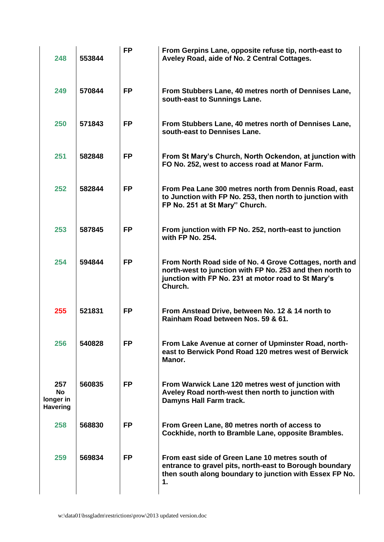| 248                                              | 553844 | <b>FP</b> | From Gerpins Lane, opposite refuse tip, north-east to<br>Aveley Road, aide of No. 2 Central Cottages.                                                                                  |
|--------------------------------------------------|--------|-----------|----------------------------------------------------------------------------------------------------------------------------------------------------------------------------------------|
| 249                                              | 570844 | <b>FP</b> | From Stubbers Lane, 40 metres north of Dennises Lane,<br>south-east to Sunnings Lane.                                                                                                  |
| 250                                              | 571843 | <b>FP</b> | From Stubbers Lane, 40 metres north of Dennises Lane,<br>south-east to Dennises Lane.                                                                                                  |
| 251                                              | 582848 | <b>FP</b> | From St Mary's Church, North Ockendon, at junction with<br>FO No. 252, west to access road at Manor Farm.                                                                              |
| 252                                              | 582844 | <b>FP</b> | From Pea Lane 300 metres north from Dennis Road, east<br>to Junction with FP No. 253, then north to junction with<br>FP No. 251 at St Mary" Church.                                    |
| 253                                              | 587845 | <b>FP</b> | From junction with FP No. 252, north-east to junction<br>with FP No. 254.                                                                                                              |
| 254                                              | 594844 | <b>FP</b> | From North Road side of No. 4 Grove Cottages, north and<br>north-west to junction with FP No. 253 and then north to<br>junction with FP No. 231 at motor road to St Mary's<br>Church.  |
| 255                                              | 521831 | <b>FP</b> | From Anstead Drive, between No. 12 & 14 north to<br>Rainham Road between Nos. 59 & 61.                                                                                                 |
| 256                                              | 540828 | <b>FP</b> | From Lake Avenue at corner of Upminster Road, north-<br>east to Berwick Pond Road 120 metres west of Berwick<br>Manor.                                                                 |
| 257<br><b>No</b><br>longer in<br><b>Havering</b> | 560835 | <b>FP</b> | From Warwick Lane 120 metres west of junction with<br>Aveley Road north-west then north to junction with<br>Damyns Hall Farm track.                                                    |
| 258                                              | 568830 | <b>FP</b> | From Green Lane, 80 metres north of access to<br>Cockhide, north to Bramble Lane, opposite Brambles.                                                                                   |
| 259                                              | 569834 | <b>FP</b> | From east side of Green Lane 10 metres south of<br>entrance to gravel pits, north-east to Borough boundary<br>then south along boundary to junction with Essex FP No.<br>$\mathbf 1$ . |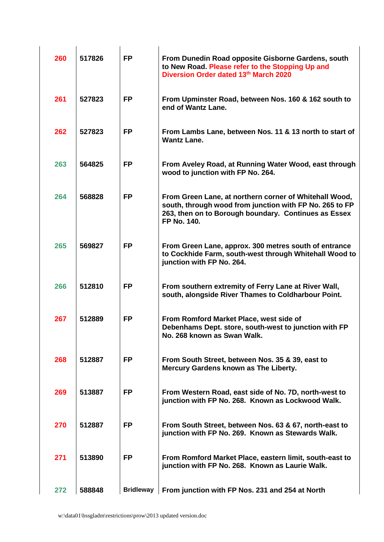| 260 | 517826 | <b>FP</b>        | From Dunedin Road opposite Gisborne Gardens, south<br>to New Road. Please refer to the Stopping Up and<br>Diversion Order dated 13th March 2020                                          |
|-----|--------|------------------|------------------------------------------------------------------------------------------------------------------------------------------------------------------------------------------|
| 261 | 527823 | <b>FP</b>        | From Upminster Road, between Nos. 160 & 162 south to<br>end of Wantz Lane.                                                                                                               |
| 262 | 527823 | <b>FP</b>        | From Lambs Lane, between Nos. 11 & 13 north to start of<br><b>Wantz Lane.</b>                                                                                                            |
| 263 | 564825 | <b>FP</b>        | From Aveley Road, at Running Water Wood, east through<br>wood to junction with FP No. 264.                                                                                               |
| 264 | 568828 | <b>FP</b>        | From Green Lane, at northern corner of Whitehall Wood,<br>south, through wood from junction with FP No. 265 to FP<br>263, then on to Borough boundary. Continues as Essex<br>FP No. 140. |
| 265 | 569827 | <b>FP</b>        | From Green Lane, approx. 300 metres south of entrance<br>to Cockhide Farm, south-west through Whitehall Wood to<br>junction with FP No. 264.                                             |
| 266 | 512810 | <b>FP</b>        | From southern extremity of Ferry Lane at River Wall,<br>south, alongside River Thames to Coldharbour Point.                                                                              |
| 267 | 512889 | <b>FP</b>        | From Romford Market Place, west side of<br>Debenhams Dept. store, south-west to junction with FP<br>No. 268 known as Swan Walk.                                                          |
| 268 | 512887 | FP.              | From South Street, between Nos. 35 & 39, east to<br>Mercury Gardens known as The Liberty.                                                                                                |
| 269 | 513887 | <b>FP</b>        | From Western Road, east side of No. 7D, north-west to<br>junction with FP No. 268. Known as Lockwood Walk.                                                                               |
| 270 | 512887 | <b>FP</b>        | From South Street, between Nos. 63 & 67, north-east to<br>junction with FP No. 269. Known as Stewards Walk.                                                                              |
| 271 | 513890 | <b>FP</b>        | From Romford Market Place, eastern limit, south-east to<br>junction with FP No. 268. Known as Laurie Walk.                                                                               |
| 272 | 588848 | <b>Bridleway</b> | From junction with FP Nos. 231 and 254 at North                                                                                                                                          |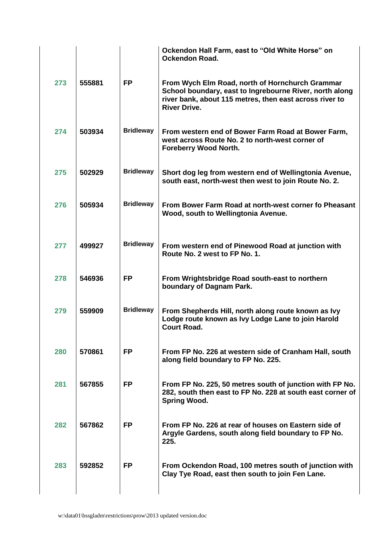|     |        |                  | Ockendon Hall Farm, east to "Old White Horse" on<br><b>Ockendon Road.</b>                                                                                                                    |
|-----|--------|------------------|----------------------------------------------------------------------------------------------------------------------------------------------------------------------------------------------|
| 273 | 555881 | <b>FP</b>        | From Wych Elm Road, north of Hornchurch Grammar<br>School boundary, east to Ingrebourne River, north along<br>river bank, about 115 metres, then east across river to<br><b>River Drive.</b> |
| 274 | 503934 | <b>Bridleway</b> | From western end of Bower Farm Road at Bower Farm,<br>west across Route No. 2 to north-west corner of<br><b>Foreberry Wood North.</b>                                                        |
| 275 | 502929 | <b>Bridleway</b> | Short dog leg from western end of Wellingtonia Avenue,<br>south east, north-west then west to join Route No. 2.                                                                              |
| 276 | 505934 | <b>Bridleway</b> | From Bower Farm Road at north-west corner fo Pheasant<br>Wood, south to Wellingtonia Avenue.                                                                                                 |
| 277 | 499927 | <b>Bridleway</b> | From western end of Pinewood Road at junction with<br>Route No. 2 west to FP No. 1.                                                                                                          |
| 278 | 546936 | <b>FP</b>        | From Wrightsbridge Road south-east to northern<br>boundary of Dagnam Park.                                                                                                                   |
| 279 | 559909 | <b>Bridleway</b> | From Shepherds Hill, north along route known as Ivy<br>Lodge route known as Ivy Lodge Lane to join Harold<br>Court Road.                                                                     |
| 280 | 570861 | <b>FP</b>        | From FP No. 226 at western side of Cranham Hall, south<br>along field boundary to FP No. 225.                                                                                                |
| 281 | 567855 | <b>FP</b>        | From FP No. 225, 50 metres south of junction with FP No.<br>282, south then east to FP No. 228 at south east corner of<br><b>Spring Wood.</b>                                                |
| 282 | 567862 | <b>FP</b>        | From FP No. 226 at rear of houses on Eastern side of<br>Argyle Gardens, south along field boundary to FP No.<br>225.                                                                         |
| 283 | 592852 | <b>FP</b>        | From Ockendon Road, 100 metres south of junction with<br>Clay Tye Road, east then south to join Fen Lane.                                                                                    |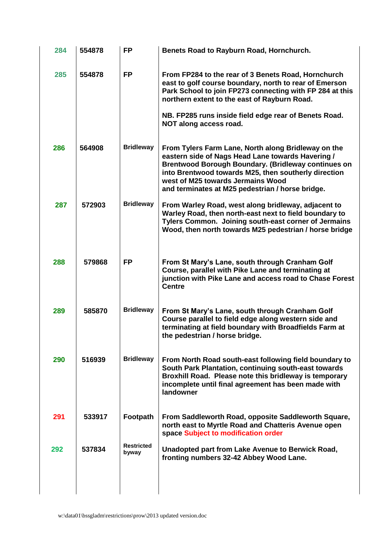| 284 | 554878 | <b>FP</b>                  | Benets Road to Rayburn Road, Hornchurch.                                                                                                                                                                                                                                                                                |
|-----|--------|----------------------------|-------------------------------------------------------------------------------------------------------------------------------------------------------------------------------------------------------------------------------------------------------------------------------------------------------------------------|
| 285 | 554878 | <b>FP</b>                  | From FP284 to the rear of 3 Benets Road, Hornchurch<br>east to golf course boundary, north to rear of Emerson<br>Park School to join FP273 connecting with FP 284 at this<br>northern extent to the east of Rayburn Road.                                                                                               |
|     |        |                            | NB. FP285 runs inside field edge rear of Benets Road.<br>NOT along access road.                                                                                                                                                                                                                                         |
| 286 | 564908 | <b>Bridleway</b>           | From Tylers Farm Lane, North along Bridleway on the<br>eastern side of Nags Head Lane towards Havering /<br><b>Brentwood Borough Boundary. (Bridleway continues on</b><br>into Brentwood towards M25, then southerly direction<br>west of M25 towards Jermains Wood<br>and terminates at M25 pedestrian / horse bridge. |
| 287 | 572903 | <b>Bridleway</b>           | From Warley Road, west along bridleway, adjacent to<br>Warley Road, then north-east next to field boundary to<br>Tylers Common. Joining south-east corner of Jermains<br>Wood, then north towards M25 pedestrian / horse bridge                                                                                         |
| 288 | 579868 | <b>FP</b>                  | From St Mary's Lane, south through Cranham Golf<br>Course, parallel with Pike Lane and terminating at<br>junction with Pike Lane and access road to Chase Forest<br><b>Centre</b>                                                                                                                                       |
| 289 | 585870 | <b>Bridleway</b>           | From St Mary's Lane, south through Cranham Golf<br>Course parallel to field edge along western side and<br>terminating at field boundary with Broadfields Farm at<br>the pedestrian / horse bridge.                                                                                                                     |
| 290 | 516939 | <b>Bridleway</b>           | From North Road south-east following field boundary to<br>South Park Plantation, continuing south-east towards<br>Broxhill Road. Please note this bridleway is temporary<br>incomplete until final agreement has been made with<br>landowner                                                                            |
| 291 | 533917 | Footpath                   | From Saddleworth Road, opposite Saddleworth Square,<br>north east to Myrtle Road and Chatteris Avenue open<br>space Subject to modification order                                                                                                                                                                       |
| 292 | 537834 | <b>Restricted</b><br>byway | Unadopted part from Lake Avenue to Berwick Road,<br>fronting numbers 32-42 Abbey Wood Lane.                                                                                                                                                                                                                             |